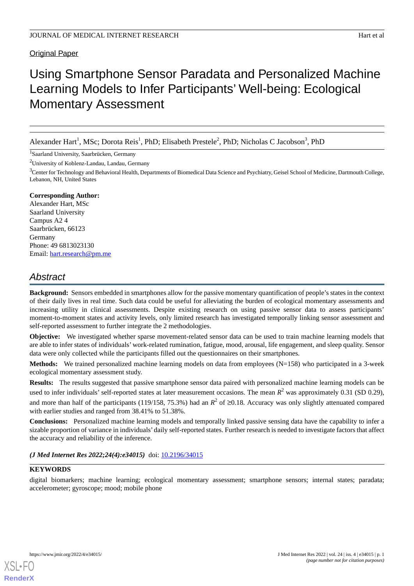# Original Paper

# Using Smartphone Sensor Paradata and Personalized Machine Learning Models to Infer Participants' Well-being: Ecological Momentary Assessment

Alexander Hart<sup>1</sup>, MSc; Dorota Reis<sup>1</sup>, PhD; Elisabeth Prestele<sup>2</sup>, PhD; Nicholas C Jacobson<sup>3</sup>, PhD

1 Saarland University, Saarbrücken, Germany

<sup>2</sup>University of Koblenz-Landau, Landau, Germany

<sup>3</sup>Center for Technology and Behavioral Health, Departments of Biomedical Data Science and Psychiatry, Geisel School of Medicine, Dartmouth College, Lebanon, NH, United States

#### **Corresponding Author:**

Alexander Hart, MSc Saarland University Campus A2 4 Saarbrücken, 66123 Germany Phone: 49 6813023130 Email: [hart.research@pm.me](mailto:hart.research@pm.me)

# *Abstract*

**Background:** Sensors embedded in smartphones allow for the passive momentary quantification of people's states in the context of their daily lives in real time. Such data could be useful for alleviating the burden of ecological momentary assessments and increasing utility in clinical assessments. Despite existing research on using passive sensor data to assess participants' moment-to-moment states and activity levels, only limited research has investigated temporally linking sensor assessment and self-reported assessment to further integrate the 2 methodologies.

**Objective:** We investigated whether sparse movement-related sensor data can be used to train machine learning models that are able to infer states of individuals' work-related rumination, fatigue, mood, arousal, life engagement, and sleep quality. Sensor data were only collected while the participants filled out the questionnaires on their smartphones.

**Methods:** We trained personalized machine learning models on data from employees (N=158) who participated in a 3-week ecological momentary assessment study.

**Results:** The results suggested that passive smartphone sensor data paired with personalized machine learning models can be used to infer individuals' self-reported states at later measurement occasions. The mean  $R^2$  was approximately 0.31 (SD 0.29), and more than half of the participants (119/158, 75.3%) had an  $R^2$  of ≥0.18. Accuracy was only slightly attenuated compared with earlier studies and ranged from 38.41% to 51.38%.

**Conclusions:** Personalized machine learning models and temporally linked passive sensing data have the capability to infer a sizable proportion of variance in individuals' daily self-reported states. Further research is needed to investigate factors that affect the accuracy and reliability of the inference.

*(J Med Internet Res 2022;24(4):e34015)* doi:  $10.2196/34015$ 

# **KEYWORDS**

digital biomarkers; machine learning; ecological momentary assessment; smartphone sensors; internal states; paradata; accelerometer; gyroscope; mood; mobile phone

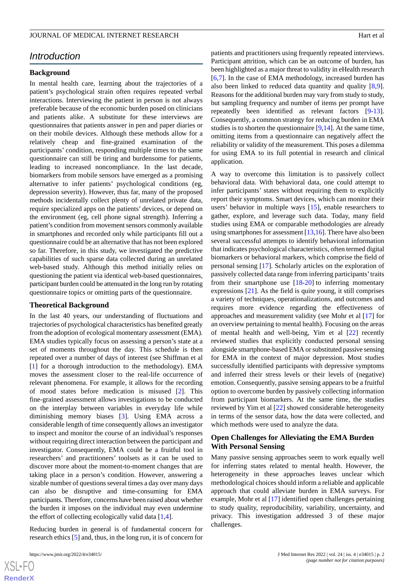# *Introduction*

#### **Background**

In mental health care, learning about the trajectories of a patient's psychological strain often requires repeated verbal interactions. Interviewing the patient in person is not always preferable because of the economic burden posed on clinicians and patients alike. A substitute for these interviews are questionnaires that patients answer in pen and paper diaries or on their mobile devices. Although these methods allow for a relatively cheap and fine-grained examination of the participants' condition, responding multiple times to the same questionnaire can still be tiring and burdensome for patients, leading to increased noncompliance. In the last decade, biomarkers from mobile sensors have emerged as a promising alternative to infer patients' psychological conditions (eg, depression severity). However, thus far, many of the proposed methods incidentally collect plenty of unrelated private data, require specialized apps on the patients' devices, or depend on the environment (eg, cell phone signal strength). Inferring a patient's condition from movement sensors commonly available in smartphones and recorded only while participants fill out a questionnaire could be an alternative that has not been explored so far. Therefore, in this study, we investigated the predictive capabilities of such sparse data collected during an unrelated web-based study. Although this method initially relies on questioning the patient via identical web-based questionnaires, participant burden could be attenuated in the long run by rotating questionnaire topics or omitting parts of the questionnaire.

#### **Theoretical Background**

In the last 40 years, our understanding of fluctuations and trajectories of psychological characteristics has benefited greatly from the adoption of ecological momentary assessment (EMA). EMA studies typically focus on assessing a person's state at a set of moments throughout the day. This schedule is then repeated over a number of days of interest (see Shiffman et al [[1\]](#page-11-0) for a thorough introduction to the methodology). EMA moves the assessment closer to the real-life occurrence of relevant phenomena. For example, it allows for the recording of mood states before medication is misused [\[2](#page-11-1)]. This fine-grained assessment allows investigations to be conducted on the interplay between variables in everyday life while diminishing memory biases [\[3\]](#page-11-2). Using EMA across a considerable length of time consequently allows an investigator to inspect and monitor the course of an individual's responses without requiring direct interaction between the participant and investigator. Consequently, EMA could be a fruitful tool in researchers' and practitioners' toolsets as it can be used to discover more about the moment-to-moment changes that are taking place in a person's condition. However, answering a sizable number of questions several times a day over many days can also be disruptive and time-consuming for EMA participants. Therefore, concerns have been raised about whether the burden it imposes on the individual may even undermine the effort of collecting ecologically valid data  $[1,4]$  $[1,4]$  $[1,4]$  $[1,4]$ .

Reducing burden in general is of fundamental concern for research ethics [[5\]](#page-11-4) and, thus, in the long run, it is of concern for

patients and practitioners using frequently repeated interviews. Participant attrition, which can be an outcome of burden, has been highlighted as a major threat to validity in eHealth research [[6](#page-11-5)[,7\]](#page-11-6). In the case of EMA methodology, increased burden has also been linked to reduced data quantity and quality [\[8](#page-11-7),[9\]](#page-11-8). Reasons for the additional burden may vary from study to study, but sampling frequency and number of items per prompt have repeatedly been identified as relevant factors [[9-](#page-11-8)[13\]](#page-11-9). Consequently, a common strategy for reducing burden in EMA studies is to shorten the questionnaire  $[9,14]$  $[9,14]$  $[9,14]$  $[9,14]$ . At the same time, omitting items from a questionnaire can negatively affect the reliability or validity of the measurement. This poses a dilemma for using EMA to its full potential in research and clinical application.

A way to overcome this limitation is to passively collect behavioral data. With behavioral data, one could attempt to infer participants' states without requiring them to explicitly report their symptoms. Smart devices, which can monitor their users' behavior in multiple ways [\[15](#page-12-1)], enable researchers to gather, explore, and leverage such data. Today, many field studies using EMA or comparable methodologies are already using smartphones for assessment [\[13](#page-11-9),[16](#page-12-2)]. There have also been several successful attempts to identify behavioral information that indicates psychological characteristics, often termed digital biomarkers or behavioral markers, which comprise the field of personal sensing [[17\]](#page-12-3). Scholarly articles on the exploration of passively collected data range from inferring participants'traits from their smartphone use  $[18-20]$  $[18-20]$  $[18-20]$  to inferring momentary expressions  $[21]$  $[21]$ . As the field is quite young, it still comprises a variety of techniques, operationalizations, and outcomes and requires more evidence regarding the effectiveness of approaches and measurement validity (see Mohr et al [[17\]](#page-12-3) for an overview pertaining to mental health). Focusing on the areas of mental health and well-being, Yim et al [[22\]](#page-12-7) recently reviewed studies that explicitly conducted personal sensing alongside smartphone-based EMA or substituted passive sensing for EMA in the context of major depression. Most studies successfully identified participants with depressive symptoms and inferred their stress levels or their levels of (negative) emotion. Consequently, passive sensing appears to be a fruitful option to overcome burden by passively collecting information from participant biomarkers. At the same time, the studies reviewed by Yim et al [[22\]](#page-12-7) showed considerable heterogeneity in terms of the sensor data, how the data were collected, and which methods were used to analyze the data.

# **Open Challenges for Alleviating the EMA Burden With Personal Sensing**

Many passive sensing approaches seem to work equally well for inferring states related to mental health. However, the heterogeneity in these approaches leaves unclear which methodological choices should inform a reliable and applicable approach that could alleviate burden in EMA surveys. For example, Mohr et al [[17\]](#page-12-3) identified open challenges pertaining to study quality, reproducibility, variability, uncertainty, and privacy. This investigation addressed 3 of these major challenges.

```
XSI - F(RenderX
```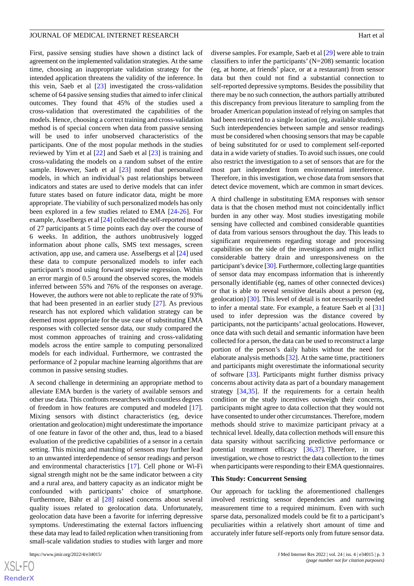First, passive sensing studies have shown a distinct lack of agreement on the implemented validation strategies. At the same time, choosing an inappropriate validation strategy for the intended application threatens the validity of the inference. In this vein, Saeb et al [\[23](#page-12-8)] investigated the cross-validation scheme of 64 passive sensing studies that aimed to infer clinical outcomes. They found that 45% of the studies used a cross-validation that overestimated the capabilities of the models. Hence, choosing a correct training and cross-validation method is of special concern when data from passive sensing will be used to infer unobserved characteristics of the participants. One of the most popular methods in the studies reviewed by Yim et al [\[22](#page-12-7)] and Saeb et al [\[23](#page-12-8)] is training and cross-validating the models on a random subset of the entire sample. However, Saeb et al [[23\]](#page-12-8) noted that personalized models, in which an individual's past relationships between indicators and states are used to derive models that can infer future states based on future indicator data, might be more appropriate. The viability of such personalized models has only been explored in a few studies related to EMA [\[24](#page-12-9)[-26](#page-12-10)]. For example, Asselbergs et al [\[24](#page-12-9)] collected the self-reported mood of 27 participants at 5 time points each day over the course of 6 weeks. In addition, the authors unobtrusively logged information about phone calls, SMS text messages, screen activation, app use, and camera use. Asselbergs et al [[24\]](#page-12-9) used these data to compute personalized models to infer each participant's mood using forward stepwise regression. Within an error margin of 0.5 around the observed scores, the models inferred between 55% and 76% of the responses on average. However, the authors were not able to replicate the rate of 93% that had been presented in an earlier study [[27\]](#page-12-11). As previous research has not explored which validation strategy can be deemed most appropriate for the use case of substituting EMA responses with collected sensor data, our study compared the most common approaches of training and cross-validating models across the entire sample to computing personalized models for each individual. Furthermore, we contrasted the performance of 2 popular machine learning algorithms that are common in passive sensing studies.

A second challenge in determining an appropriate method to alleviate EMA burden is the variety of available sensors and other use data. This confronts researchers with countless degrees of freedom in how features are computed and modeled [[17\]](#page-12-3). Mixing sensors with distinct characteristics (eg, device orientation and geolocation) might underestimate the importance of one feature in favor of the other and, thus, lead to a biased evaluation of the predictive capabilities of a sensor in a certain setting. This mixing and matching of sensors may further lead to an unwanted interdependence of sensor readings and person and environmental characteristics [[17\]](#page-12-3). Cell phone or Wi-Fi signal strength might not be the same indicator between a city and a rural area, and battery capacity as an indicator might be confounded with participants' choice of smartphone. Furthermore, Bähr et al [\[28](#page-12-12)] raised concerns about several quality issues related to geolocation data. Unfortunately, geolocation data have been a favorite for inferring depressive symptoms. Underestimating the external factors influencing these data may lead to failed replication when transitioning from small-scale validation studies to studies with larger and more

[XSL](http://www.w3.org/Style/XSL)•FO **[RenderX](http://www.renderx.com/)**

diverse samples. For example, Saeb et al [[29\]](#page-12-13) were able to train classifiers to infer the participants' (N=208) semantic location (eg, at home, at friends' place, or at a restaurant) from sensor data but then could not find a substantial connection to self-reported depressive symptoms. Besides the possibility that there may be no such connection, the authors partially attributed this discrepancy from previous literature to sampling from the broader American population instead of relying on samples that had been restricted to a single location (eg, available students). Such interdependencies between sample and sensor readings must be considered when choosing sensors that may be capable of being substituted for or used to complement self-reported data in a wide variety of studies. To avoid such issues, one could also restrict the investigation to a set of sensors that are for the most part independent from environmental interference. Therefore, in this investigation, we chose data from sensors that detect device movement, which are common in smart devices.

A third challenge in substituting EMA responses with sensor data is that the chosen method must not coincidentally inflict burden in any other way. Most studies investigating mobile sensing have collected and combined considerable quantities of data from various sensors throughout the day. This leads to significant requirements regarding storage and processing capabilities on the side of the investigators and might inflict considerable battery drain and unresponsiveness on the participant's device [[30](#page-12-14)]. Furthermore, collecting large quantities of sensor data may encompass information that is inherently personally identifiable (eg, names of other connected devices) or that is able to reveal sensitive details about a person (eg, geolocation) [\[30](#page-12-14)]. This level of detail is not necessarily needed to infer a mental state. For example, a feature Saeb et al [\[31](#page-12-15)] used to infer depression was the distance covered by participants, not the participants' actual geolocations. However, once data with such detail and semantic information have been collected for a person, the data can be used to reconstruct a large portion of the person's daily habits without the need for elaborate analysis methods [[32\]](#page-12-16). At the same time, practitioners and participants might overestimate the informational security of software [\[33](#page-12-17)]. Participants might further dismiss privacy concerns about activity data as part of a boundary management strategy [\[34](#page-12-18),[35\]](#page-12-19). If the requirements for a certain health condition or the study incentives outweigh their concerns, participants might agree to data collection that they would not have consented to under other circumstances. Therefore, modern methods should strive to maximize participant privacy at a technical level. Ideally, data collection methods will ensure this data sparsity without sacrificing predictive performance or potential treatment efficacy [[36](#page-12-20)[,37](#page-13-0)]. Therefore, in our investigation, we chose to restrict the data collection to the times when participants were responding to their EMA questionnaires.

#### **This Study: Concurrent Sensing**

Our approach for tackling the aforementioned challenges involved restricting sensor dependencies and narrowing measurement time to a required minimum. Even with such sparse data, personalized models could be fit to a participant's peculiarities within a relatively short amount of time and accurately infer future self-reports only from future sensor data.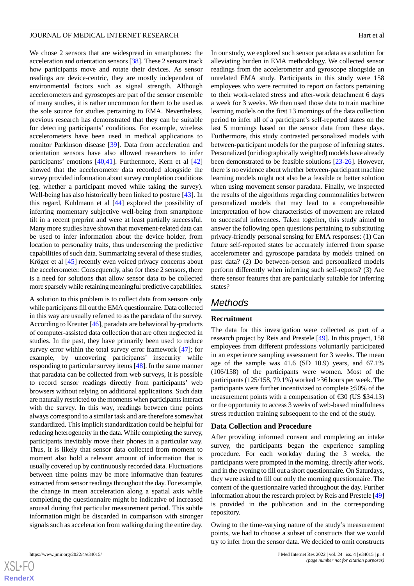We chose 2 sensors that are widespread in smartphones: the acceleration and orientation sensors [\[38](#page-13-1)]. These 2 sensors track how participants move and rotate their devices. As sensor readings are device-centric, they are mostly independent of environmental factors such as signal strength. Although accelerometers and gyroscopes are part of the sensor ensemble of many studies, it is rather uncommon for them to be used as the sole source for studies pertaining to EMA. Nevertheless, previous research has demonstrated that they can be suitable for detecting participants' conditions. For example, wireless accelerometers have been used in medical applications to monitor Parkinson disease [\[39](#page-13-2)]. Data from acceleration and orientation sensors have also allowed researchers to infer participants' emotions [[40](#page-13-3)[,41](#page-13-4)]. Furthermore, Kern et al [\[42](#page-13-5)] showed that the accelerometer data recorded alongside the survey provided information about survey completion conditions (eg, whether a participant moved while taking the survey). Well-being has also historically been linked to posture [\[43](#page-13-6)]. In this regard, Kuhlmann et al [[44\]](#page-13-7) explored the possibility of inferring momentary subjective well-being from smartphone tilt in a recent preprint and were at least partially successful. Many more studies have shown that movement-related data can be used to infer information about the device holder, from location to personality traits, thus underscoring the predictive capabilities of such data. Summarizing several of these studies, Kröger et al [\[45](#page-13-8)] recently even voiced privacy concerns about the accelerometer. Consequently, also for these 2 sensors, there is a need for solutions that allow sensor data to be collected more sparsely while retaining meaningful predictive capabilities.

A solution to this problem is to collect data from sensors only while participants fill out the EMA questionnaire. Data collected in this way are usually referred to as the paradata of the survey. According to Kreuter [\[46](#page-13-9)], paradata are behavioral by-products of computer-assisted data collection that are often neglected in studies. In the past, they have primarily been used to reduce survey error within the total survey error framework [[47\]](#page-13-10); for example, by uncovering participants' insecurity while responding to particular survey items [[48\]](#page-13-11). In the same manner that paradata can be collected from web surveys, it is possible to record sensor readings directly from participants' web browsers without relying on additional applications. Such data are naturally restricted to the moments when participants interact with the survey. In this way, readings between time points always correspond to a similar task and are therefore somewhat standardized. This implicit standardization could be helpful for reducing heterogeneity in the data. While completing the survey, participants inevitably move their phones in a particular way. Thus, it is likely that sensor data collected from moment to moment also hold a relevant amount of information that is usually covered up by continuously recorded data. Fluctuations between time points may be more informative than features extracted from sensor readings throughout the day. For example, the change in mean acceleration along a spatial axis while completing the questionnaire might be indicative of increased arousal during that particular measurement period. This subtle information might be discarded in comparison with stronger signals such as acceleration from walking during the entire day.

 $XS$  $\cdot$ FC **[RenderX](http://www.renderx.com/)** In our study, we explored such sensor paradata as a solution for alleviating burden in EMA methodology. We collected sensor readings from the accelerometer and gyroscope alongside an unrelated EMA study. Participants in this study were 158 employees who were recruited to report on factors pertaining to their work-related stress and after-work detachment 6 days a week for 3 weeks. We then used those data to train machine learning models on the first 13 mornings of the data collection period to infer all of a participant's self-reported states on the last 5 mornings based on the sensor data from these days. Furthermore, this study contrasted personalized models with between-participant models for the purpose of inferring states. Personalized (or idiographically weighted) models have already been demonstrated to be feasible solutions [\[23](#page-12-8)-[26\]](#page-12-10). However, there is no evidence about whether between-participant machine learning models might not also be a feasible or better solution when using movement sensor paradata. Finally, we inspected the results of the algorithms regarding commonalities between personalized models that may lead to a comprehensible interpretation of how characteristics of movement are related to successful inferences. Taken together, this study aimed to answer the following open questions pertaining to substituting privacy-friendly personal sensing for EMA responses: (1) Can future self-reported states be accurately inferred from sparse accelerometer and gyroscope paradata by models trained on past data? (2) Do between-person and personalized models perform differently when inferring such self-reports? (3) Are there sensor features that are particularly suitable for inferring states?

# *Methods*

#### **Recruitment**

The data for this investigation were collected as part of a research project by Reis and Prestele [\[49](#page-13-12)]. In this project, 158 employees from different professions voluntarily participated in an experience sampling assessment for 3 weeks. The mean age of the sample was 41.6 (SD 10.9) years, and 67.1% (106/158) of the participants were women. Most of the participants (125/158, 79.1%) worked >36 hours per week. The participants were further incentivized to complete ≥50% of the measurement points with a compensation of  $\text{\textsterling}0$  (US \$34.13) or the opportunity to access 3 weeks of web-based mindfulness stress reduction training subsequent to the end of the study.

#### **Data Collection and Procedure**

After providing informed consent and completing an intake survey, the participants began the experience sampling procedure. For each workday during the 3 weeks, the participants were prompted in the morning, directly after work, and in the evening to fill out a short questionnaire. On Saturdays, they were asked to fill out only the morning questionnaire. The content of the questionnaire varied throughout the day. Further information about the research project by Reis and Prestele [[49](#page-13-12)] is provided in the publication and in the corresponding repository.

Owing to the time-varying nature of the study's measurement points, we had to choose a subset of constructs that we would try to infer from the sensor data. We decided to omit constructs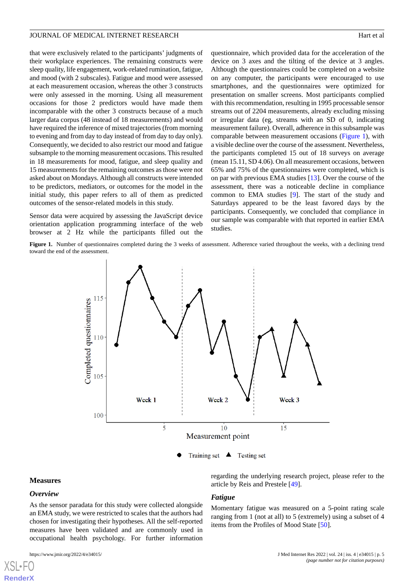that were exclusively related to the participants' judgments of their workplace experiences. The remaining constructs were sleep quality, life engagement, work-related rumination, fatigue, and mood (with 2 subscales). Fatigue and mood were assessed at each measurement occasion, whereas the other 3 constructs were only assessed in the morning. Using all measurement occasions for those 2 predictors would have made them incomparable with the other 3 constructs because of a much larger data corpus (48 instead of 18 measurements) and would have required the inference of mixed trajectories (from morning to evening and from day to day instead of from day to day only). Consequently, we decided to also restrict our mood and fatigue subsample to the morning measurement occasions. This resulted in 18 measurements for mood, fatigue, and sleep quality and 15 measurements for the remaining outcomes as those were not asked about on Mondays. Although all constructs were intended to be predictors, mediators, or outcomes for the model in the initial study, this paper refers to all of them as predicted outcomes of the sensor-related models in this study.

<span id="page-4-0"></span>Sensor data were acquired by assessing the JavaScript device orientation application programming interface of the web browser at 2 Hz while the participants filled out the

questionnaire, which provided data for the acceleration of the device on 3 axes and the tilting of the device at 3 angles. Although the questionnaires could be completed on a website on any computer, the participants were encouraged to use smartphones, and the questionnaires were optimized for presentation on smaller screens. Most participants complied with this recommendation, resulting in 1995 processable sensor streams out of 2204 measurements, already excluding missing or irregular data (eg, streams with an SD of 0, indicating measurement failure). Overall, adherence in this subsample was comparable between measurement occasions ([Figure 1\)](#page-4-0), with a visible decline over the course of the assessment. Nevertheless, the participants completed 15 out of 18 surveys on average (mean 15.11, SD 4.06). On all measurement occasions, between 65% and 75% of the questionnaires were completed, which is on par with previous EMA studies [\[13](#page-11-9)]. Over the course of the assessment, there was a noticeable decline in compliance common to EMA studies [[9\]](#page-11-8). The start of the study and Saturdays appeared to be the least favored days by the participants. Consequently, we concluded that compliance in our sample was comparable with that reported in earlier EMA studies.

Figure 1. Number of questionnaires completed during the 3 weeks of assessment. Adherence varied throughout the weeks, with a declining trend toward the end of the assessment.



#### **Measures**

#### *Overview*

[XSL](http://www.w3.org/Style/XSL)•FO **[RenderX](http://www.renderx.com/)**

As the sensor paradata for this study were collected alongside an EMA study, we were restricted to scales that the authors had chosen for investigating their hypotheses. All the self-reported measures have been validated and are commonly used in occupational health psychology. For further information

regarding the underlying research project, please refer to the article by Reis and Prestele [\[49](#page-13-12)].

#### *Fatigue*

Momentary fatigue was measured on a 5-point rating scale ranging from 1 (not at all) to 5 (extremely) using a subset of 4 items from the Profiles of Mood State [[50\]](#page-13-13).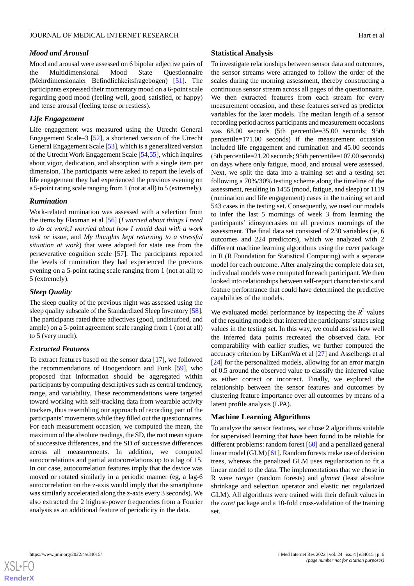#### *Mood and Arousal*

Mood and arousal were assessed on 6 bipolar adjective pairs of the Multidimensional Mood State Questionnaire (Mehrdimensionaler Befindlichkeitsfragebogen) [\[51](#page-13-14)]. The participants expressed their momentary mood on a 6-point scale regarding good mood (feeling well, good, satisfied, or happy) and tense arousal (feeling tense or restless).

#### *Life Engagement*

Life engagement was measured using the Utrecht General Engagement Scale–3 [[52\]](#page-13-15), a shortened version of the Utrecht General Engagement Scale [\[53](#page-13-16)], which is a generalized version of the Utrecht Work Engagement Scale [\[54](#page-13-17),[55\]](#page-13-18), which inquires about vigor, dedication, and absorption with a single item per dimension. The participants were asked to report the levels of life engagement they had experienced the previous evening on a 5-point rating scale ranging from 1 (not at all) to 5 (extremely).

#### *Rumination*

Work-related rumination was assessed with a selection from the items by Flaxman et al [[56\]](#page-13-19) (*I worried about things I need to do at work,I worried about how I would deal with a work task or issue*, and *My thoughts kept returning to a stressful situation at work*) that were adapted for state use from the perseverative cognition scale [\[57](#page-13-20)]. The participants reported the levels of rumination they had experienced the previous evening on a 5-point rating scale ranging from 1 (not at all) to 5 (extremely).

# *Sleep Quality*

The sleep quality of the previous night was assessed using the sleep quality subscale of the Standardized Sleep Inventory [[58\]](#page-13-21). The participants rated three adjectives (good, undisturbed, and ample) on a 5-point agreement scale ranging from 1 (not at all) to 5 (very much).

#### *Extracted Features*

To extract features based on the sensor data [[17\]](#page-12-3), we followed the recommendations of Hoogendoorn and Funk [\[59](#page-13-22)], who proposed that information should be aggregated within participants by computing descriptives such as central tendency, range, and variability. These recommendations were targeted toward working with self-tracking data from wearable activity trackers, thus resembling our approach of recording part of the participants'movements while they filled out the questionnaires. For each measurement occasion, we computed the mean, the maximum of the absolute readings, the SD, the root mean square of successive differences, and the SD of successive differences across all measurements. In addition, we computed autocorrelations and partial autocorrelations up to a lag of 15. In our case, autocorrelation features imply that the device was moved or rotated similarly in a periodic manner (eg, a lag-6 autocorrelation on the z-axis would imply that the smartphone was similarly accelerated along the z-axis every 3 seconds). We also extracted the 2 highest-power frequencies from a Fourier analysis as an additional feature of periodicity in the data.

#### **Statistical Analysis**

To investigate relationships between sensor data and outcomes, the sensor streams were arranged to follow the order of the scales during the morning assessment, thereby constructing a continuous sensor stream across all pages of the questionnaire. We then extracted features from each stream for every measurement occasion, and these features served as predictor variables for the later models. The median length of a sensor recording period across participants and measurement occasions was 68.00 seconds (5th percentile=35.00 seconds; 95th percentile=171.00 seconds) if the measurement occasion included life engagement and rumination and 45.00 seconds (5th percentile=21.20 seconds; 95th percentile=107.00 seconds) on days where only fatigue, mood, and arousal were assessed. Next, we split the data into a training set and a testing set following a 70%/30% testing scheme along the timeline of the assessment, resulting in 1455 (mood, fatigue, and sleep) or 1119 (rumination and life engagement) cases in the training set and 543 cases in the testing set. Consequently, we used our models to infer the last 5 mornings of week 3 from learning the participants' idiosyncrasies on all previous mornings of the assessment. The final data set consisted of 230 variables (ie, 6 outcomes and 224 predictors), which we analyzed with 2 different machine learning algorithms using the *caret* package in R (R Foundation for Statistical Computing) with a separate model for each outcome. After analyzing the complete data set, individual models were computed for each participant. We then looked into relationships between self-report characteristics and feature performance that could have determined the predictive capabilities of the models.

We evaluated model performance by inspecting the  $R^2$  values of the resulting models that inferred the participants'states using values in the testing set. In this way, we could assess how well the inferred data points recreated the observed data. For comparability with earlier studies, we further computed the accuracy criterion by LiKamWa et al [[27\]](#page-12-11) and Asselbergs et al [[24\]](#page-12-9) for the personalized models, allowing for an error margin of 0.5 around the observed value to classify the inferred value as either correct or incorrect. Finally, we explored the relationship between the sensor features and outcomes by clustering feature importance over all outcomes by means of a latent profile analysis (LPA).

#### **Machine Learning Algorithms**

To analyze the sensor features, we chose 2 algorithms suitable for supervised learning that have been found to be reliable for different problems: random forest [[60\]](#page-13-23) and a penalized general linear model (GLM) [\[61](#page-13-24)]. Random forests make use of decision trees, whereas the penalized GLM uses regularization to fit a linear model to the data. The implementations that we chose in R were *ranger* (random forests) and *glmnet* (least absolute shrinkage and selection operator and elastic net regularized GLM). All algorithms were trained with their default values in the *caret* package and a 10-fold cross-validation of the training set.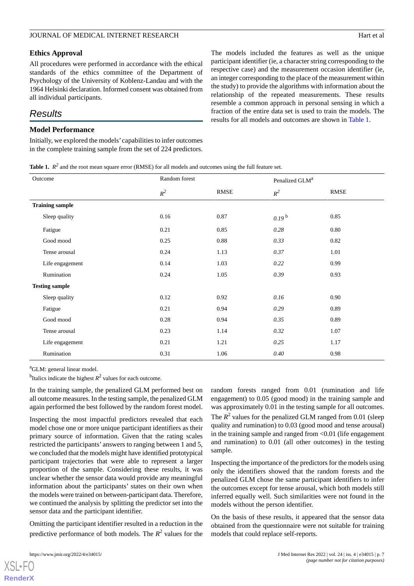#### **Ethics Approval**

All procedures were performed in accordance with the ethical standards of the ethics committee of the Department of Psychology of the University of Koblenz-Landau and with the 1964 Helsinki declaration. Informed consent was obtained from all individual participants.

# *Results*

#### **Model Performance**

<span id="page-6-0"></span>Initially, we explored the models' capabilities to infer outcomes in the complete training sample from the set of 224 predictors. The models included the features as well as the unique participant identifier (ie, a character string corresponding to the respective case) and the measurement occasion identifier (ie, an integer corresponding to the place of the measurement within the study) to provide the algorithms with information about the relationship of the repeated measurements. These results resemble a common approach in personal sensing in which a fraction of the entire data set is used to train the models. The results for all models and outcomes are shown in [Table 1.](#page-6-0)

**Table 1.**  $R^2$  and the root mean square error (RMSE) for all models and outcomes using the full feature set.

| Outcome                | Random forest |      | Penalized GLM <sup>a</sup> |      |
|------------------------|---------------|------|----------------------------|------|
|                        | $R^2$         | RMSE | $R^2$                      | RMSE |
| <b>Training sample</b> |               |      |                            |      |
| Sleep quality          | 0.16          | 0.87 | $0.19^{b}$                 | 0.85 |
| Fatigue                | 0.21          | 0.85 | 0.28                       | 0.80 |
| Good mood              | 0.25          | 0.88 | 0.33                       | 0.82 |
| Tense arousal          | 0.24          | 1.13 | 0.37                       | 1.01 |
| Life engagement        | 0.14          | 1.03 | 0.22                       | 0.99 |
| Rumination             | 0.24          | 1.05 | 0.39                       | 0.93 |
| <b>Testing sample</b>  |               |      |                            |      |
| Sleep quality          | 0.12          | 0.92 | 0.16                       | 0.90 |
| Fatigue                | 0.21          | 0.94 | 0.29                       | 0.89 |
| Good mood              | 0.28          | 0.94 | 0.35                       | 0.89 |
| Tense arousal          | 0.23          | 1.14 | 0.32                       | 1.07 |
| Life engagement        | 0.21          | 1.21 | 0.25                       | 1.17 |
| Rumination             | 0.31          | 1.06 | $0.40\,$                   | 0.98 |

<sup>a</sup>GLM: general linear model.

<sup>b</sup>Italics indicate the highest  $R^2$  values for each outcome.

In the training sample, the penalized GLM performed best on all outcome measures. In the testing sample, the penalized GLM again performed the best followed by the random forest model.

Inspecting the most impactful predictors revealed that each model chose one or more unique participant identifiers as their primary source of information. Given that the rating scales restricted the participants' answers to ranging between 1 and 5, we concluded that the models might have identified prototypical participant trajectories that were able to represent a larger proportion of the sample. Considering these results, it was unclear whether the sensor data would provide any meaningful information about the participants' states on their own when the models were trained on between-participant data. Therefore, we continued the analysis by splitting the predictor set into the sensor data and the participant identifier.

Omitting the participant identifier resulted in a reduction in the predictive performance of both models. The  $R^2$  values for the

[XSL](http://www.w3.org/Style/XSL)•FO **[RenderX](http://www.renderx.com/)**

random forests ranged from 0.01 (rumination and life engagement) to 0.05 (good mood) in the training sample and was approximately 0.01 in the testing sample for all outcomes.

The  $R^2$  values for the penalized GLM ranged from 0.01 (sleep quality and rumination) to 0.03 (good mood and tense arousal) in the training sample and ranged from <0.01 (life engagement and rumination) to 0.01 (all other outcomes) in the testing sample.

Inspecting the importance of the predictors for the models using only the identifiers showed that the random forests and the penalized GLM chose the same participant identifiers to infer the outcomes except for tense arousal, which both models still inferred equally well. Such similarities were not found in the models without the person identifier.

On the basis of these results, it appeared that the sensor data obtained from the questionnaire were not suitable for training models that could replace self-reports.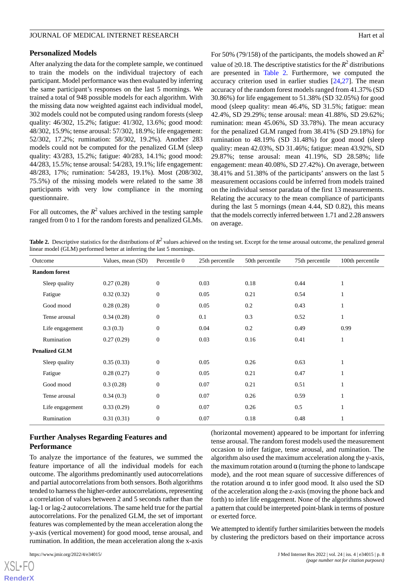#### **Personalized Models**

After analyzing the data for the complete sample, we continued to train the models on the individual trajectory of each participant. Model performance was then evaluated by inferring the same participant's responses on the last 5 mornings. We trained a total of 948 possible models for each algorithm. With the missing data now weighted against each individual model, 302 models could not be computed using random forests (sleep quality: 46/302, 15.2%; fatigue: 41/302, 13.6%; good mood: 48/302, 15.9%; tense arousal: 57/302, 18.9%; life engagement: 52/302, 17.2%; rumination: 58/302, 19.2%). Another 283 models could not be computed for the penalized GLM (sleep quality: 43/283, 15.2%; fatigue: 40/283, 14.1%; good mood: 44/283, 15.5%; tense arousal: 54/283, 19.1%; life engagement: 48/283, 17%; rumination: 54/283, 19.1%). Most (208/302, 75.5%) of the missing models were related to the same 38 participants with very low compliance in the morning questionnaire.

<span id="page-7-0"></span>For all outcomes, the  $R^2$  values archived in the testing sample ranged from 0 to 1 for the random forests and penalized GLMs. For 50% (79/158) of the participants, the models showed an  $R^2$ value of ≥0.18. The descriptive statistics for the  $R^2$  distributions are presented in [Table 2.](#page-7-0) Furthermore, we computed the accuracy criterion used in earlier studies [\[24](#page-12-9),[27\]](#page-12-11). The mean accuracy of the random forest models ranged from 41.37% (SD 30.86%) for life engagement to 51.38% (SD 32.05%) for good mood (sleep quality: mean 46.4%, SD 31.5%; fatigue: mean 42.4%, SD 29.29%; tense arousal: mean 41.88%, SD 29.62%; rumination: mean 45.06%, SD 33.78%). The mean accuracy for the penalized GLM ranged from 38.41% (SD 29.18%) for rumination to 48.19% (SD 31.48%) for good mood (sleep quality: mean 42.03%, SD 31.46%; fatigue: mean 43.92%, SD 29.87%; tense arousal: mean 41.19%, SD 28.58%; life engagement: mean 40.08%, SD 27.42%). On average, between 38.41% and 51.38% of the participants' answers on the last 5 measurement occasions could be inferred from models trained on the individual sensor paradata of the first 13 measurements. Relating the accuracy to the mean compliance of participants during the last 5 mornings (mean 4.44, SD 0.82), this means that the models correctly inferred between 1.71 and 2.28 answers on average.

Table 2. Descriptive statistics for the distributions of  $R^2$  values achieved on the testing set. Except for the tense arousal outcome, the penalized general linear model (GLM) performed better at inferring the last 5 mornings.

|                      | Outcome         | Values, mean (SD) | Percentile 0     | 25th percentile | 50th percentile | 75th percentile | 100th percentile |
|----------------------|-----------------|-------------------|------------------|-----------------|-----------------|-----------------|------------------|
| <b>Random</b> forest |                 |                   |                  |                 |                 |                 |                  |
|                      | Sleep quality   | 0.27(0.28)        | $\theta$         | 0.03            | 0.18            | 0.44            | 1                |
|                      | Fatigue         | 0.32(0.32)        | $\mathbf{0}$     | 0.05            | 0.21            | 0.54            | 1                |
|                      | Good mood       | 0.28(0.28)        | $\mathbf{0}$     | 0.05            | 0.2             | 0.43            | 1                |
|                      | Tense arousal   | 0.34(0.28)        | $\boldsymbol{0}$ | 0.1             | 0.3             | 0.52            | 1                |
|                      | Life engagement | 0.3(0.3)          | $\mathbf{0}$     | 0.04            | 0.2             | 0.49            | 0.99             |
|                      | Rumination      | 0.27(0.29)        | $\mathbf{0}$     | 0.03            | 0.16            | 0.41            | 1                |
| <b>Penalized GLM</b> |                 |                   |                  |                 |                 |                 |                  |
|                      | Sleep quality   | 0.35(0.33)        | $\theta$         | 0.05            | 0.26            | 0.63            | 1                |
|                      | Fatigue         | 0.28(0.27)        | $\theta$         | 0.05            | 0.21            | 0.47            | 1                |
|                      | Good mood       | 0.3(0.28)         | $\Omega$         | 0.07            | 0.21            | 0.51            |                  |
|                      | Tense arousal   | 0.34(0.3)         | $\boldsymbol{0}$ | 0.07            | 0.26            | 0.59            | 1                |
|                      | Life engagement | 0.33(0.29)        | $\overline{0}$   | 0.07            | 0.26            | 0.5             |                  |
|                      | Rumination      | 0.31(0.31)        | $\boldsymbol{0}$ | 0.07            | 0.18            | 0.48            | 1                |

# **Further Analyses Regarding Features and Performance**

To analyze the importance of the features, we summed the feature importance of all the individual models for each outcome. The algorithms predominantly used autocorrelations and partial autocorrelations from both sensors. Both algorithms tended to harness the higher-order autocorrelations, representing a correlation of values between 2 and 5 seconds rather than the lag-1 or lag-2 autocorrelations. The same held true for the partial autocorrelations. For the penalized GLM, the set of important features was complemented by the mean acceleration along the y-axis (vertical movement) for good mood, tense arousal, and rumination. In addition, the mean acceleration along the x-axis

(horizontal movement) appeared to be important for inferring tense arousal. The random forest models used the measurement occasion to infer fatigue, tense arousal, and rumination. The algorithm also used the maximum acceleration along the y-axis, the maximum rotation around  $\alpha$  (turning the phone to landscape mode), and the root mean square of successive differences of the rotation around  $α$  to infer good mood. It also used the SD of the acceleration along the z-axis (moving the phone back and forth) to infer life engagement. None of the algorithms showed a pattern that could be interpreted point-blank in terms of posture or exerted force.

We attempted to identify further similarities between the models by clustering the predictors based on their importance across

 $XS$  • FO **[RenderX](http://www.renderx.com/)**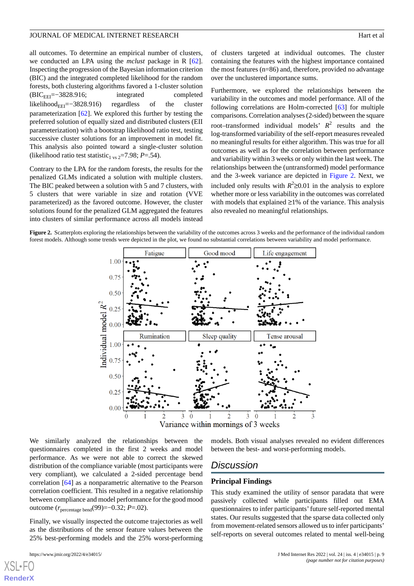all outcomes. To determine an empirical number of clusters, we conducted an LPA using the *mclust* package in R [[62\]](#page-13-25). Inspecting the progression of the Bayesian information criterion (BIC) and the integrated completed likelihood for the random forests, both clustering algorithms favored a 1-cluster solution (BICEEI=−3828.916; integrated completed likelihood $_{\text{EEI}}$ =−3828.916) regardless of the cluster parameterization [\[62](#page-13-25)]. We explored this further by testing the preferred solution of equally sized and distributed clusters (EII parameterization) with a bootstrap likelihood ratio test, testing successive cluster solutions for an improvement in model fit. This analysis also pointed toward a single-cluster solution (likelihood ratio test statistic<sub>1 vs 2</sub>=7.98; *P*=.54).

Contrary to the LPA for the random forests, the results for the penalized GLMs indicated a solution with multiple clusters. The BIC peaked between a solution with 5 and 7 clusters, with 5 clusters that were variable in size and rotation (VVE parameterized) as the favored outcome. However, the cluster solutions found for the penalized GLM aggregated the features into clusters of similar performance across all models instead

of clusters targeted at individual outcomes. The cluster containing the features with the highest importance contained the most features (n=86) and, therefore, provided no advantage over the unclustered importance sums.

Furthermore, we explored the relationships between the variability in the outcomes and model performance. All of the following correlations are Holm-corrected [[63\]](#page-13-26) for multiple comparisons. Correlation analyses (2-sided) between the square root–transformed individual models'  $R^2$  results and the log-transformed variability of the self-report measures revealed no meaningful results for either algorithm. This was true for all outcomes as well as for the correlation between performance and variability within 3 weeks or only within the last week. The relationships between the (untransformed) model performance and the 3-week variance are depicted in [Figure 2](#page-8-0). Next, we included only results with  $R^2 \ge 0.01$  in the analysis to explore whether more or less variability in the outcomes was correlated with models that explained ≥1% of the variance. This analysis also revealed no meaningful relationships.

<span id="page-8-0"></span>**Figure 2.** Scatterplots exploring the relationships between the variability of the outcomes across 3 weeks and the performance of the individual random forest models. Although some trends were depicted in the plot, we found no substantial correlations between variability and model performance.



We similarly analyzed the relationships between the questionnaires completed in the first 2 weeks and model performance. As we were not able to correct the skewed distribution of the compliance variable (most participants were very compliant), we calculated a 2-sided percentage bend correlation [\[64](#page-14-0)] as a nonparametric alternative to the Pearson correlation coefficient. This resulted in a negative relationship between compliance and model performance for the good mood outcome (*r*percentage bend(99)=−0.32; *P*=.02).

Finally, we visually inspected the outcome trajectories as well as the distributions of the sensor feature values between the 25% best-performing models and the 25% worst-performing

[XSL](http://www.w3.org/Style/XSL)•FO **[RenderX](http://www.renderx.com/)**

models. Both visual analyses revealed no evident differences between the best- and worst-performing models.

### *Discussion*

#### **Principal Findings**

This study examined the utility of sensor paradata that were passively collected while participants filled out EMA questionnaires to infer participants'future self-reported mental states. Our results suggested that the sparse data collected only from movement-related sensors allowed us to infer participants' self-reports on several outcomes related to mental well-being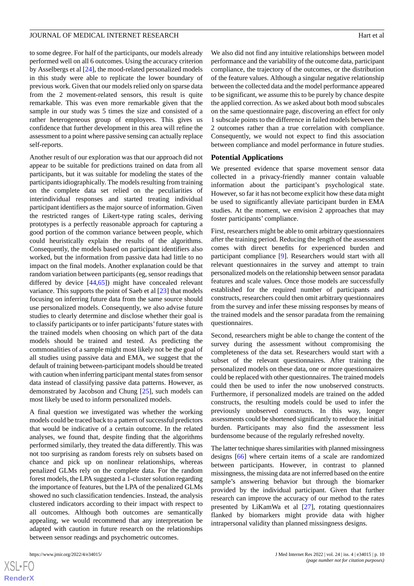to some degree. For half of the participants, our models already performed well on all 6 outcomes. Using the accuracy criterion by Asselbergs et al [\[24](#page-12-9)], the mood-related personalized models in this study were able to replicate the lower boundary of previous work. Given that our models relied only on sparse data from the 2 movement-related sensors, this result is quite remarkable. This was even more remarkable given that the sample in our study was 5 times the size and consisted of a rather heterogeneous group of employees. This gives us confidence that further development in this area will refine the assessment to a point where passive sensing can actually replace self-reports.

Another result of our exploration was that our approach did not appear to be suitable for predictions trained on data from all participants, but it was suitable for modeling the states of the participants idiographically. The models resulting from training on the complete data set relied on the peculiarities of interindividual responses and started treating individual participant identifiers as the major source of information. Given the restricted ranges of Likert-type rating scales, deriving prototypes is a perfectly reasonable approach for capturing a good portion of the common variance between people, which could heuristically explain the results of the algorithms. Consequently, the models based on participant identifiers also worked, but the information from passive data had little to no impact on the final models. Another explanation could be that random variation between participants (eg, sensor readings that differed by device [\[44](#page-13-7),[65\]](#page-14-1)) might have concealed relevant variance. This supports the point of Saeb et al [[23\]](#page-12-8) that models focusing on inferring future data from the same source should use personalized models. Consequently, we also advise future studies to clearly determine and disclose whether their goal is to classify participants or to infer participants' future states with the trained models when choosing on which part of the data models should be trained and tested. As predicting the commonalities of a sample might most likely not be the goal of all studies using passive data and EMA, we suggest that the default of training between-participant models should be treated with caution when inferring participant mental states from sensor data instead of classifying passive data patterns. However, as demonstrated by Jacobson and Chung [\[25](#page-12-21)], such models can most likely be used to inform personalized models.

A final question we investigated was whether the working models could be traced back to a pattern of successful predictors that would be indicative of a certain outcome. In the related analyses, we found that, despite finding that the algorithms performed similarly, they treated the data differently. This was not too surprising as random forests rely on subsets based on chance and pick up on nonlinear relationships, whereas penalized GLMs rely on the complete data. For the random forest models, the LPA suggested a 1-cluster solution regarding the importance of features, but the LPA of the penalized GLMs showed no such classification tendencies. Instead, the analysis clustered indicators according to their impact with respect to all outcomes. Although both outcomes are semantically appealing, we would recommend that any interpretation be adapted with caution in future research on the relationships between sensor readings and psychometric outcomes.

 $XS$  $\cdot$ FC **[RenderX](http://www.renderx.com/)** We also did not find any intuitive relationships between model performance and the variability of the outcome data, participant compliance, the trajectory of the outcomes, or the distribution of the feature values. Although a singular negative relationship between the collected data and the model performance appeared to be significant, we assume this to be purely by chance despite the applied correction. As we asked about both mood subscales on the same questionnaire page, discovering an effect for only 1 subscale points to the difference in failed models between the 2 outcomes rather than a true correlation with compliance. Consequently, we would not expect to find this association between compliance and model performance in future studies.

#### **Potential Applications**

We presented evidence that sparse movement sensor data collected in a privacy-friendly manner contain valuable information about the participant's psychological state. However, so far it has not become explicit how these data might be used to significantly alleviate participant burden in EMA studies. At the moment, we envision 2 approaches that may foster participants' compliance.

First, researchers might be able to omit arbitrary questionnaires after the training period. Reducing the length of the assessment comes with direct benefits for experienced burden and participant compliance [[9\]](#page-11-8). Researchers would start with all relevant questionnaires in the survey and attempt to train personalized models on the relationship between sensor paradata features and scale values. Once those models are successfully established for the required number of participants and constructs, researchers could then omit arbitrary questionnaires from the survey and infer these missing responses by means of the trained models and the sensor paradata from the remaining questionnaires.

Second, researchers might be able to change the content of the survey during the assessment without compromising the completeness of the data set. Researchers would start with a subset of the relevant questionnaires. After training the personalized models on these data, one or more questionnaires could be replaced with other questionnaires. The trained models could then be used to infer the now unobserved constructs. Furthermore, if personalized models are trained on the added constructs, the resulting models could be used to infer the previously unobserved constructs. In this way, longer assessments could be shortened significantly to reduce the initial burden. Participants may also find the assessment less burdensome because of the regularly refreshed novelty.

The latter technique shares similarities with planned missingness designs [\[66](#page-14-2)] where certain items of a scale are randomized between participants. However, in contrast to planned missingness, the missing data are not inferred based on the entire sample's answering behavior but through the biomarker provided by the individual participant. Given that further research can improve the accuracy of our method to the rates presented by LiKamWa et al [[27\]](#page-12-11), rotating questionnaires flanked by biomarkers might provide data with higher intrapersonal validity than planned missingness designs.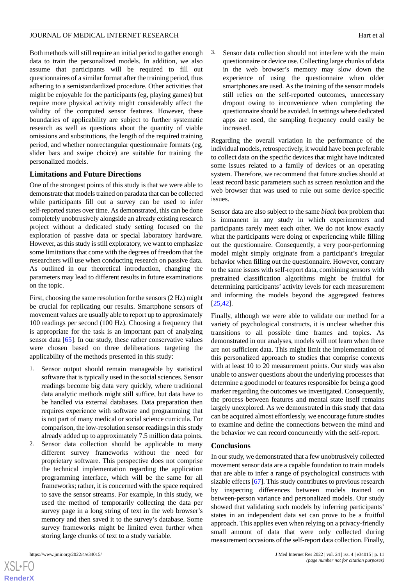Both methods will still require an initial period to gather enough data to train the personalized models. In addition, we also assume that participants will be required to fill out questionnaires of a similar format after the training period, thus adhering to a semistandardized procedure. Other activities that might be enjoyable for the participants (eg, playing games) but require more physical activity might considerably affect the validity of the computed sensor features. However, these boundaries of applicability are subject to further systematic research as well as questions about the quantity of viable omissions and substitutions, the length of the required training period, and whether nonrectangular questionnaire formats (eg, slider bars and swipe choice) are suitable for training the personalized models.

# **Limitations and Future Directions**

One of the strongest points of this study is that we were able to demonstrate that models trained on paradata that can be collected while participants fill out a survey can be used to infer self-reported states over time. As demonstrated, this can be done completely unobtrusively alongside an already existing research project without a dedicated study setting focused on the exploration of passive data or special laboratory hardware. However, as this study is still exploratory, we want to emphasize some limitations that come with the degrees of freedom that the researchers will use when conducting research on passive data. As outlined in our theoretical introduction, changing the parameters may lead to different results in future examinations on the topic.

First, choosing the same resolution for the sensors (2 Hz) might be crucial for replicating our results. Smartphone sensors of movement values are usually able to report up to approximately 100 readings per second (100 Hz). Choosing a frequency that is appropriate for the task is an important part of analyzing sensor data [\[65](#page-14-1)]. In our study, these rather conservative values were chosen based on three deliberations targeting the applicability of the methods presented in this study:

- 1. Sensor output should remain manageable by statistical software that is typically used in the social sciences. Sensor readings become big data very quickly, where traditional data analytic methods might still suffice, but data have to be handled via external databases. Data preparation then requires experience with software and programming that is not part of many medical or social science curricula. For comparison, the low-resolution sensor readings in this study already added up to approximately 7.5 million data points.
- 2. Sensor data collection should be applicable to many different survey frameworks without the need for proprietary software. This perspective does not comprise the technical implementation regarding the application programming interface, which will be the same for all frameworks; rather, it is concerned with the space required to save the sensor streams. For example, in this study, we used the method of temporarily collecting the data per survey page in a long string of text in the web browser's memory and then saved it to the survey's database. Some survey frameworks might be limited even further when storing large chunks of text to a study variable.

 $XS$  $\cdot$ FC **[RenderX](http://www.renderx.com/)** Sensor data collection should not interfere with the main questionnaire or device use. Collecting large chunks of data in the web browser's memory may slow down the experience of using the questionnaire when older smartphones are used. As the training of the sensor models still relies on the self-reported outcomes, unnecessary dropout owing to inconvenience when completing the questionnaire should be avoided. In settings where dedicated apps are used, the sampling frequency could easily be increased.

Regarding the overall variation in the performance of the individual models, retrospectively, it would have been preferable to collect data on the specific devices that might have indicated some issues related to a family of devices or an operating system. Therefore, we recommend that future studies should at least record basic parameters such as screen resolution and the web browser that was used to rule out some device-specific issues.

Sensor data are also subject to the same *black box* problem that is immanent in any study in which experimenters and participants rarely meet each other. We do not know exactly what the participants were doing or experiencing while filling out the questionnaire. Consequently, a very poor-performing model might simply originate from a participant's irregular behavior when filling out the questionnaire. However, contrary to the same issues with self-report data, combining sensors with pretrained classification algorithms might be fruitful for determining participants' activity levels for each measurement and informing the models beyond the aggregated features [[25,](#page-12-21)[42\]](#page-13-5).

Finally, although we were able to validate our method for a variety of psychological constructs, it is unclear whether this transitions to all possible time frames and topics. As demonstrated in our analyses, models will not learn when there are not sufficient data. This might limit the implementation of this personalized approach to studies that comprise contexts with at least 10 to 20 measurement points. Our study was also unable to answer questions about the underlying processes that determine a good model or features responsible for being a good marker regarding the outcomes we investigated. Consequently, the process between features and mental state itself remains largely unexplored. As we demonstrated in this study that data can be acquired almost effortlessly, we encourage future studies to examine and define the connections between the mind and the behavior we can record concurrently with the self-report.

#### **Conclusions**

In our study, we demonstrated that a few unobtrusively collected movement sensor data are a capable foundation to train models that are able to infer a range of psychological constructs with sizable effects [\[67](#page-14-3)]. This study contributes to previous research by inspecting differences between models trained on between-person variance and personalized models. Our study showed that validating such models by inferring participants' states in an independent data set can prove to be a fruitful approach. This applies even when relying on a privacy-friendly small amount of data that were only collected during measurement occasions of the self-report data collection. Finally,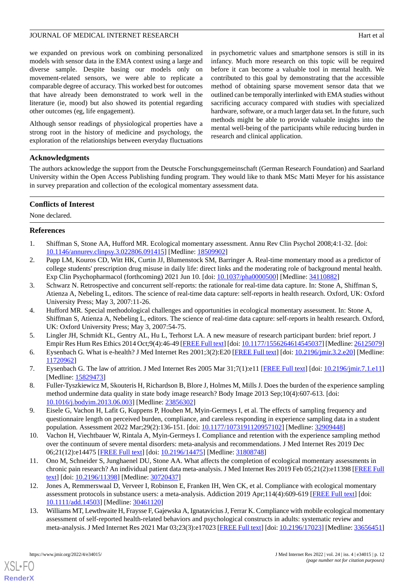we expanded on previous work on combining personalized models with sensor data in the EMA context using a large and diverse sample. Despite basing our models only on movement-related sensors, we were able to replicate a comparable degree of accuracy. This worked best for outcomes that have already been demonstrated to work well in the literature (ie, mood) but also showed its potential regarding other outcomes (eg, life engagement).

Although sensor readings of physiological properties have a strong root in the history of medicine and psychology, the exploration of the relationships between everyday fluctuations in psychometric values and smartphone sensors is still in its infancy. Much more research on this topic will be required before it can become a valuable tool in mental health. We contributed to this goal by demonstrating that the accessible method of obtaining sparse movement sensor data that we outlined can be temporally interlinked with EMA studies without sacrificing accuracy compared with studies with specialized hardware, software, or a much larger data set. In the future, such methods might be able to provide valuable insights into the mental well-being of the participants while reducing burden in research and clinical application.

# **Acknowledgments**

The authors acknowledge the support from the Deutsche Forschungsgemeinschaft (German Research Foundation) and Saarland University within the Open Access Publishing funding program. They would like to thank MSc Matti Meyer for his assistance in survey preparation and collection of the ecological momentary assessment data.

#### **Conflicts of Interest**

<span id="page-11-0"></span>None declared.

# <span id="page-11-1"></span>**References**

- 1. Shiffman S, Stone AA, Hufford MR. Ecological momentary assessment. Annu Rev Clin Psychol 2008;4:1-32. [doi: [10.1146/annurev.clinpsy.3.022806.091415](http://dx.doi.org/10.1146/annurev.clinpsy.3.022806.091415)] [Medline: [18509902](http://www.ncbi.nlm.nih.gov/entrez/query.fcgi?cmd=Retrieve&db=PubMed&list_uids=18509902&dopt=Abstract)]
- <span id="page-11-2"></span>2. Papp LM, Kouros CD, Witt HK, Curtin JJ, Blumenstock SM, Barringer A. Real-time momentary mood as a predictor of college students' prescription drug misuse in daily life: direct links and the moderating role of background mental health. Exp Clin Psychopharmacol (forthcoming) 2021 Jun 10. [doi: [10.1037/pha0000500](http://dx.doi.org/10.1037/pha0000500)] [Medline: [34110882\]](http://www.ncbi.nlm.nih.gov/entrez/query.fcgi?cmd=Retrieve&db=PubMed&list_uids=34110882&dopt=Abstract)
- <span id="page-11-3"></span>3. Schwarz N. Retrospective and concurrent self-reports: the rationale for real-time data capture. In: Stone A, Shiffman S, Atienza A, Nebeling L, editors. The science of real-time data capture: self-reports in health research. Oxford, UK: Oxford University Press; May 3, 2007:11-26.
- <span id="page-11-5"></span><span id="page-11-4"></span>4. Hufford MR. Special methodological challenges and opportunities in ecological momentary assessment. In: Stone A, Shiffman S, Atienza A, Nebeling L, editors. The science of real-time data capture: self-reports in health research. Oxford, UK: Oxford University Press; May 3, 2007:54-75.
- <span id="page-11-6"></span>5. Lingler JH, Schmidt KL, Gentry AL, Hu L, Terhorst LA. A new measure of research participant burden: brief report. J Empir Res Hum Res Ethics 2014 Oct;9(4):46-49 [[FREE Full text\]](http://europepmc.org/abstract/MED/26125079) [doi: [10.1177/1556264614545037\]](http://dx.doi.org/10.1177/1556264614545037) [Medline: [26125079](http://www.ncbi.nlm.nih.gov/entrez/query.fcgi?cmd=Retrieve&db=PubMed&list_uids=26125079&dopt=Abstract)]
- <span id="page-11-7"></span>6. Eysenbach G. What is e-health? J Med Internet Res 2001;3(2):E20 [[FREE Full text\]](https://www.jmir.org/2001/2/e20/) [doi: [10.2196/jmir.3.2.e20\]](http://dx.doi.org/10.2196/jmir.3.2.e20) [Medline: [11720962](http://www.ncbi.nlm.nih.gov/entrez/query.fcgi?cmd=Retrieve&db=PubMed&list_uids=11720962&dopt=Abstract)]
- <span id="page-11-8"></span>7. Eysenbach G. The law of attrition. J Med Internet Res 2005 Mar 31;7(1):e11 [[FREE Full text\]](https://www.jmir.org/2005/1/e11/) [doi: [10.2196/jmir.7.1.e11](http://dx.doi.org/10.2196/jmir.7.1.e11)] [Medline: [15829473](http://www.ncbi.nlm.nih.gov/entrez/query.fcgi?cmd=Retrieve&db=PubMed&list_uids=15829473&dopt=Abstract)]
- 8. Fuller-Tyszkiewicz M, Skouteris H, Richardson B, Blore J, Holmes M, Mills J. Does the burden of the experience sampling method undermine data quality in state body image research? Body Image 2013 Sep;10(4):607-613. [doi: [10.1016/j.bodyim.2013.06.003](http://dx.doi.org/10.1016/j.bodyim.2013.06.003)] [Medline: [23856302\]](http://www.ncbi.nlm.nih.gov/entrez/query.fcgi?cmd=Retrieve&db=PubMed&list_uids=23856302&dopt=Abstract)
- 9. Eisele G, Vachon H, Lafit G, Kuppens P, Houben M, Myin-Germeys I, et al. The effects of sampling frequency and questionnaire length on perceived burden, compliance, and careless responding in experience sampling data in a student population. Assessment 2022 Mar;29(2):136-151. [doi: [10.1177/1073191120957102](http://dx.doi.org/10.1177/1073191120957102)] [Medline: [32909448](http://www.ncbi.nlm.nih.gov/entrez/query.fcgi?cmd=Retrieve&db=PubMed&list_uids=32909448&dopt=Abstract)]
- 10. Vachon H, Viechtbauer W, Rintala A, Myin-Germeys I. Compliance and retention with the experience sampling method over the continuum of severe mental disorders: meta-analysis and recommendations. J Med Internet Res 2019 Dec 06;21(12):e14475 [\[FREE Full text](https://www.jmir.org/2019/12/e14475/)] [doi: [10.2196/14475\]](http://dx.doi.org/10.2196/14475) [Medline: [31808748\]](http://www.ncbi.nlm.nih.gov/entrez/query.fcgi?cmd=Retrieve&db=PubMed&list_uids=31808748&dopt=Abstract)
- <span id="page-11-9"></span>11. Ono M, Schneider S, Junghaenel DU, Stone AA. What affects the completion of ecological momentary assessments in chronic pain research? An individual patient data meta-analysis. J Med Internet Res 2019 Feb 05;21(2):e11398 [\[FREE Full](https://www.jmir.org/2019/2/e11398/) [text](https://www.jmir.org/2019/2/e11398/)] [doi: [10.2196/11398\]](http://dx.doi.org/10.2196/11398) [Medline: [30720437\]](http://www.ncbi.nlm.nih.gov/entrez/query.fcgi?cmd=Retrieve&db=PubMed&list_uids=30720437&dopt=Abstract)
- 12. Jones A, Remmerswaal D, Verveer I, Robinson E, Franken IH, Wen CK, et al. Compliance with ecological momentary assessment protocols in substance users: a meta-analysis. Addiction 2019 Apr;114(4):609-619 [[FREE Full text\]](http://europepmc.org/abstract/MED/30461120) [doi: [10.1111/add.14503\]](http://dx.doi.org/10.1111/add.14503) [Medline: [30461120\]](http://www.ncbi.nlm.nih.gov/entrez/query.fcgi?cmd=Retrieve&db=PubMed&list_uids=30461120&dopt=Abstract)
- 13. Williams MT, Lewthwaite H, Fraysse F, Gajewska A, Ignatavicius J, Ferrar K. Compliance with mobile ecological momentary assessment of self-reported health-related behaviors and psychological constructs in adults: systematic review and meta-analysis. J Med Internet Res 2021 Mar 03;23(3):e17023 [[FREE Full text\]](https://www.jmir.org/2021/3/e17023/) [doi: [10.2196/17023](http://dx.doi.org/10.2196/17023)] [Medline: [33656451](http://www.ncbi.nlm.nih.gov/entrez/query.fcgi?cmd=Retrieve&db=PubMed&list_uids=33656451&dopt=Abstract)]

[XSL](http://www.w3.org/Style/XSL)•FO **[RenderX](http://www.renderx.com/)**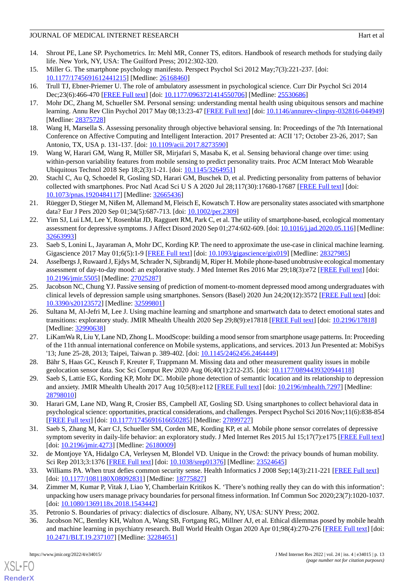- <span id="page-12-0"></span>14. Shrout PE, Lane SP. Psychometrics. In: Mehl MR, Conner TS, editors. Handbook of research methods for studying daily life. New York, NY, USA: The Guilford Press; 2012:302-320.
- <span id="page-12-2"></span><span id="page-12-1"></span>15. Miller G. The smartphone psychology manifesto. Perspect Psychol Sci 2012 May;7(3):221-237. [doi: [10.1177/1745691612441215\]](http://dx.doi.org/10.1177/1745691612441215) [Medline: [26168460\]](http://www.ncbi.nlm.nih.gov/entrez/query.fcgi?cmd=Retrieve&db=PubMed&list_uids=26168460&dopt=Abstract)
- <span id="page-12-3"></span>16. Trull TJ, Ebner-Priemer U. The role of ambulatory assessment in psychological science. Curr Dir Psychol Sci 2014 Dec;23(6):466-470 [\[FREE Full text](http://europepmc.org/abstract/MED/25530686)] [doi: [10.1177/0963721414550706\]](http://dx.doi.org/10.1177/0963721414550706) [Medline: [25530686\]](http://www.ncbi.nlm.nih.gov/entrez/query.fcgi?cmd=Retrieve&db=PubMed&list_uids=25530686&dopt=Abstract)
- <span id="page-12-4"></span>17. Mohr DC, Zhang M, Schueller SM. Personal sensing: understanding mental health using ubiquitous sensors and machine learning. Annu Rev Clin Psychol 2017 May 08;13:23-47 [[FREE Full text\]](http://europepmc.org/abstract/MED/28375728) [doi: [10.1146/annurev-clinpsy-032816-044949](http://dx.doi.org/10.1146/annurev-clinpsy-032816-044949)] [Medline: [28375728](http://www.ncbi.nlm.nih.gov/entrez/query.fcgi?cmd=Retrieve&db=PubMed&list_uids=28375728&dopt=Abstract)]
- 18. Wang H, Marsella S. Assessing personality through objective behavioral sensing. In: Proceedings of the 7th International Conference on Affective Computing and Intelligent Interaction. 2017 Presented at: ACII '17; October 23-26, 2017; San Antonio, TX, USA p. 131-137. [doi: [10.1109/acii.2017.8273590\]](http://dx.doi.org/10.1109/acii.2017.8273590)
- <span id="page-12-5"></span>19. Wang W, Harari GM, Wang R, Müller SR, Mirjafari S, Masaba K, et al. Sensing behavioral change over time: using within-person variability features from mobile sensing to predict personality traits. Proc ACM Interact Mob Wearable Ubiquitous Technol 2018 Sep 18;2(3):1-21. [doi: [10.1145/3264951](http://dx.doi.org/10.1145/3264951)]
- <span id="page-12-6"></span>20. Stachl C, Au Q, Schoedel R, Gosling SD, Harari GM, Buschek D, et al. Predicting personality from patterns of behavior collected with smartphones. Proc Natl Acad Sci U S A 2020 Jul 28;117(30):17680-17687 [[FREE Full text](https://www.pnas.org/doi/abs/10.1073/pnas.1920484117?url_ver=Z39.88-2003&rfr_id=ori:rid:crossref.org&rfr_dat=cr_pub%3dpubmed)] [doi: [10.1073/pnas.1920484117\]](http://dx.doi.org/10.1073/pnas.1920484117) [Medline: [32665436](http://www.ncbi.nlm.nih.gov/entrez/query.fcgi?cmd=Retrieve&db=PubMed&list_uids=32665436&dopt=Abstract)]
- <span id="page-12-7"></span>21. Rüegger D, Stieger M, Nißen M, Allemand M, Fleisch E, Kowatsch T. How are personality states associated with smartphone data? Eur J Pers 2020 Sep 01;34(5):687-713. [doi: [10.1002/per.2309](http://dx.doi.org/10.1002/per.2309)]
- <span id="page-12-8"></span>22. Yim SJ, Lui LM, Lee Y, Rosenblat JD, Ragguett RM, Park C, et al. The utility of smartphone-based, ecological momentary assessment for depressive symptoms. J Affect Disord 2020 Sep 01;274:602-609. [doi: [10.1016/j.jad.2020.05.116](http://dx.doi.org/10.1016/j.jad.2020.05.116)] [Medline: [32663993](http://www.ncbi.nlm.nih.gov/entrez/query.fcgi?cmd=Retrieve&db=PubMed&list_uids=32663993&dopt=Abstract)]
- <span id="page-12-9"></span>23. Saeb S, Lonini L, Jayaraman A, Mohr DC, Kording KP. The need to approximate the use-case in clinical machine learning. Gigascience 2017 May 01;6(5):1-9 [[FREE Full text\]](https://academic.oup.com/gigascience/article-lookup/doi/10.1093/gigascience/gix019) [doi: [10.1093/gigascience/gix019\]](http://dx.doi.org/10.1093/gigascience/gix019) [Medline: [28327985](http://www.ncbi.nlm.nih.gov/entrez/query.fcgi?cmd=Retrieve&db=PubMed&list_uids=28327985&dopt=Abstract)]
- <span id="page-12-21"></span>24. Asselbergs J, Ruwaard J, Ejdys M, Schrader N, Sijbrandij M, Riper H. Mobile phone-based unobtrusive ecological momentary assessment of day-to-day mood: an explorative study. J Med Internet Res 2016 Mar 29;18(3):e72 [\[FREE Full text\]](https://www.jmir.org/2016/3/e72/) [doi: [10.2196/jmir.5505](http://dx.doi.org/10.2196/jmir.5505)] [Medline: [27025287](http://www.ncbi.nlm.nih.gov/entrez/query.fcgi?cmd=Retrieve&db=PubMed&list_uids=27025287&dopt=Abstract)]
- <span id="page-12-10"></span>25. Jacobson NC, Chung YJ. Passive sensing of prediction of moment-to-moment depressed mood among undergraduates with clinical levels of depression sample using smartphones. Sensors (Basel) 2020 Jun 24;20(12):3572 [\[FREE Full text\]](https://www.mdpi.com/resolver?pii=s20123572) [doi: [10.3390/s20123572\]](http://dx.doi.org/10.3390/s20123572) [Medline: [32599801\]](http://www.ncbi.nlm.nih.gov/entrez/query.fcgi?cmd=Retrieve&db=PubMed&list_uids=32599801&dopt=Abstract)
- <span id="page-12-11"></span>26. Sultana M, Al-Jefri M, Lee J. Using machine learning and smartphone and smartwatch data to detect emotional states and transitions: exploratory study. JMIR Mhealth Uhealth 2020 Sep 29;8(9):e17818 [[FREE Full text](https://mhealth.jmir.org/2020/9/e17818/)] [doi: [10.2196/17818\]](http://dx.doi.org/10.2196/17818) [Medline: [32990638](http://www.ncbi.nlm.nih.gov/entrez/query.fcgi?cmd=Retrieve&db=PubMed&list_uids=32990638&dopt=Abstract)]
- <span id="page-12-13"></span><span id="page-12-12"></span>27. LiKamWa R, Liu Y, Lane ND, Zhong L. MoodScope: building a mood sensor from smartphone usage patterns. In: Proceeding of the 11th annual international conference on Mobile systems, applications, and services. 2013 Jun Presented at: MobiSys '13; June 25-28, 2013; Taipei, Taiwan p. 389-402. [doi: [10.1145/2462456.2464449\]](http://dx.doi.org/10.1145/2462456.2464449)
- <span id="page-12-14"></span>28. Bähr S, Haas GC, Keusch F, Kreuter F, Trappmann M. Missing data and other measurement quality issues in mobile geolocation sensor data. Soc Sci Comput Rev 2020 Aug 06;40(1):212-235. [doi: [10.1177/0894439320944118\]](http://dx.doi.org/10.1177/0894439320944118)
- <span id="page-12-15"></span>29. Saeb S, Lattie EG, Kording KP, Mohr DC. Mobile phone detection of semantic location and its relationship to depression and anxiety. JMIR Mhealth Uhealth 2017 Aug 10;5(8):e112 [\[FREE Full text\]](https://mhealth.jmir.org/2017/8/e112/) [doi: [10.2196/mhealth.7297\]](http://dx.doi.org/10.2196/mhealth.7297) [Medline: [28798010](http://www.ncbi.nlm.nih.gov/entrez/query.fcgi?cmd=Retrieve&db=PubMed&list_uids=28798010&dopt=Abstract)]
- <span id="page-12-16"></span>30. Harari GM, Lane ND, Wang R, Crosier BS, Campbell AT, Gosling SD. Using smartphones to collect behavioral data in psychological science: opportunities, practical considerations, and challenges. Perspect Psychol Sci 2016 Nov;11(6):838-854 [[FREE Full text](http://europepmc.org/abstract/MED/27899727)] [doi: [10.1177/1745691616650285\]](http://dx.doi.org/10.1177/1745691616650285) [Medline: [27899727](http://www.ncbi.nlm.nih.gov/entrez/query.fcgi?cmd=Retrieve&db=PubMed&list_uids=27899727&dopt=Abstract)]
- <span id="page-12-18"></span><span id="page-12-17"></span>31. Saeb S, Zhang M, Karr CJ, Schueller SM, Corden ME, Kording KP, et al. Mobile phone sensor correlates of depressive symptom severity in daily-life behavior: an exploratory study. J Med Internet Res 2015 Jul 15;17(7):e175 [[FREE Full text](https://www.jmir.org/2015/7/e175/)] [doi: [10.2196/jmir.4273\]](http://dx.doi.org/10.2196/jmir.4273) [Medline: [26180009\]](http://www.ncbi.nlm.nih.gov/entrez/query.fcgi?cmd=Retrieve&db=PubMed&list_uids=26180009&dopt=Abstract)
- <span id="page-12-19"></span>32. de Montjoye YA, Hidalgo CA, Verleysen M, Blondel VD. Unique in the Crowd: the privacy bounds of human mobility. Sci Rep 2013;3:1376 [[FREE Full text](https://doi.org/10.1038/srep01376)] [doi: [10.1038/srep01376](http://dx.doi.org/10.1038/srep01376)] [Medline: [23524645](http://www.ncbi.nlm.nih.gov/entrez/query.fcgi?cmd=Retrieve&db=PubMed&list_uids=23524645&dopt=Abstract)]
- <span id="page-12-20"></span>33. Williams PA. When trust defies common security sense. Health Informatics J 2008 Sep;14(3):211-221 [\[FREE Full text\]](https://journals.sagepub.com/doi/10.1177/1081180X08092831?url_ver=Z39.88-2003&rfr_id=ori:rid:crossref.org&rfr_dat=cr_pub%3dpubmed) [doi: [10.1177/1081180X08092831](http://dx.doi.org/10.1177/1081180X08092831)] [Medline: [18775827](http://www.ncbi.nlm.nih.gov/entrez/query.fcgi?cmd=Retrieve&db=PubMed&list_uids=18775827&dopt=Abstract)]
- 34. Zimmer M, Kumar P, Vitak J, Liao Y, Chamberlain Kritikos K. 'There's nothing really they can do with this information': unpacking how users manage privacy boundaries for personal fitness information. Inf Commun Soc 2020;23(7):1020-1037. [doi: [10.1080/1369118x.2018.1543442](http://dx.doi.org/10.1080/1369118x.2018.1543442)]
- 35. Petronio S. Boundaries of privacy: dialectics of disclosure. Albany, NY, USA: SUNY Press; 2002.
- 36. Jacobson NC, Bentley KH, Walton A, Wang SB, Fortgang RG, Millner AJ, et al. Ethical dilemmas posed by mobile health and machine learning in psychiatry research. Bull World Health Organ 2020 Apr 01;98(4):270-276 [[FREE Full text](http://europepmc.org/abstract/MED/32284651)] [doi: [10.2471/BLT.19.237107](http://dx.doi.org/10.2471/BLT.19.237107)] [Medline: [32284651\]](http://www.ncbi.nlm.nih.gov/entrez/query.fcgi?cmd=Retrieve&db=PubMed&list_uids=32284651&dopt=Abstract)

[XSL](http://www.w3.org/Style/XSL)•FO **[RenderX](http://www.renderx.com/)**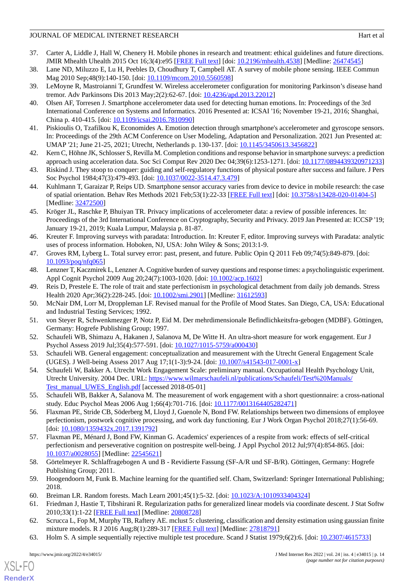- <span id="page-13-0"></span>37. Carter A, Liddle J, Hall W, Chenery H. Mobile phones in research and treatment: ethical guidelines and future directions. JMIR Mhealth Uhealth 2015 Oct 16;3(4):e95 [[FREE Full text](https://mhealth.jmir.org/2015/4/e95/)] [doi: [10.2196/mhealth.4538](http://dx.doi.org/10.2196/mhealth.4538)] [Medline: [26474545](http://www.ncbi.nlm.nih.gov/entrez/query.fcgi?cmd=Retrieve&db=PubMed&list_uids=26474545&dopt=Abstract)]
- <span id="page-13-2"></span><span id="page-13-1"></span>38. Lane ND, Miluzzo E, Lu H, Peebles D, Choudhury T, Campbell AT. A survey of mobile phone sensing. IEEE Commun Mag 2010 Sep;48(9):140-150. [doi: [10.1109/mcom.2010.5560598](http://dx.doi.org/10.1109/mcom.2010.5560598)]
- <span id="page-13-3"></span>39. LeMoyne R, Mastroianni T, Grundfest W. Wireless accelerometer configuration for monitoring Parkinson's disease hand tremor. Adv Parkinsons Dis 2013 May; 2(2): 62-67. [doi: 10.4236/apd. 2013. 22012]
- <span id="page-13-4"></span>40. Olsen AF, Torresen J. Smartphone accelerometer data used for detecting human emotions. In: Proceedings of the 3rd International Conference on Systems and Informatics. 2016 Presented at: ICSAI '16; November 19-21, 2016; Shanghai, China p. 410-415. [doi: [10.1109/icsai.2016.7810990](http://dx.doi.org/10.1109/icsai.2016.7810990)]
- <span id="page-13-5"></span>41. Piskioulis O, Tzafilkou K, Economides A. Emotion detection through smartphone's accelerometer and gyroscope sensors. In: Proceedings of the 29th ACM Conference on User Modeling, Adaptation and Personalization. 2021 Jun Presented at: UMAP '21; June 21-25, 2021; Utrecht, Netherlands p. 130-137. [doi: [10.1145/3450613.3456822\]](http://dx.doi.org/10.1145/3450613.3456822)
- <span id="page-13-6"></span>42. Kern C, Höhne JK, Schlosser S, Revilla M. Completion conditions and response behavior in smartphone surveys: a prediction approach using acceleration data. Soc Sci Comput Rev 2020 Dec 04;39(6):1253-1271. [doi: [10.1177/0894439320971233](http://dx.doi.org/10.1177/0894439320971233)]
- <span id="page-13-7"></span>43. Riskind J. They stoop to conquer: guiding and self-regulatory functions of physical posture after success and failure. J Pers Soc Psychol 1984;47(3):479-493. [doi: [10.1037/0022-3514.47.3.479](http://dx.doi.org/10.1037/0022-3514.47.3.479)]
- <span id="page-13-8"></span>44. Kuhlmann T, Garaizar P, Reips UD. Smartphone sensor accuracy varies from device to device in mobile research: the case of spatial orientation. Behav Res Methods 2021 Feb;53(1):22-33 [\[FREE Full text](http://europepmc.org/abstract/MED/32472500)] [doi: [10.3758/s13428-020-01404-5\]](http://dx.doi.org/10.3758/s13428-020-01404-5) [Medline: [32472500](http://www.ncbi.nlm.nih.gov/entrez/query.fcgi?cmd=Retrieve&db=PubMed&list_uids=32472500&dopt=Abstract)]
- <span id="page-13-9"></span>45. Kröger JL, Raschke P, Bhuiyan TR. Privacy implications of accelerometer data: a review of possible inferences. In: Proceedings of the 3rd International Conference on Cryptography, Security and Privacy. 2019 Jan Presented at: ICCSP '19; January 19-21, 2019; Kuala Lumpur, Malaysia p. 81-87.
- <span id="page-13-11"></span><span id="page-13-10"></span>46. Kreuter F. Improving surveys with paradata: Introduction. In: Kreuter F, editor. Improving surveys with Paradata: analytic uses of process information. Hoboken, NJ, USA: John Wiley & Sons; 2013:1-9.
- <span id="page-13-12"></span>47. Groves RM, Lyberg L. Total survey error: past, present, and future. Public Opin Q 2011 Feb 09;74(5):849-879. [doi: [10.1093/poq/nfq065\]](http://dx.doi.org/10.1093/poq/nfq065)
- <span id="page-13-13"></span>48. Lenzner T, Kaczmirek L, Lenzner A. Cognitive burden of survey questions and response times: a psycholinguistic experiment. Appl Cognit Psychol 2009 Aug 20;24(7):1003-1020. [doi: [10.1002/acp.1602\]](http://dx.doi.org/10.1002/acp.1602)
- <span id="page-13-14"></span>49. Reis D, Prestele E. The role of trait and state perfectionism in psychological detachment from daily job demands. Stress Health 2020 Apr;36(2):228-245. [doi: [10.1002/smi.2901\]](http://dx.doi.org/10.1002/smi.2901) [Medline: [31612593\]](http://www.ncbi.nlm.nih.gov/entrez/query.fcgi?cmd=Retrieve&db=PubMed&list_uids=31612593&dopt=Abstract)
- <span id="page-13-15"></span>50. McNair DM, Lorr M, Droppleman LF. Revised manual for the Profile of Mood States. San Diego, CA, USA: Educational and Industrial Testing Services; 1992.
- <span id="page-13-16"></span>51. von Steyer R, Schwenkmezger P, Notz P, Eid M. Der mehrdimensionale Befindlichkeitsfra-gebogen (MDBF). Göttingen, Germany: Hogrefe Publishing Group; 1997.
- <span id="page-13-17"></span>52. Schaufeli WB, Shimazu A, Hakanen J, Salanova M, De Witte H. An ultra-short measure for work engagement. Eur J Psychol Assess 2019 Jul;35(4):577-591. [doi: [10.1027/1015-5759/a000430](http://dx.doi.org/10.1027/1015-5759/a000430)]
- <span id="page-13-18"></span>53. Schaufeli WB. General engagement: conceptualization and measurement with the Utrecht General Engagement Scale (UGES). J Well-being Assess 2017 Aug 17;1(1-3):9-24. [doi: [10.1007/s41543-017-0001-x\]](http://dx.doi.org/10.1007/s41543-017-0001-x)
- <span id="page-13-19"></span>54. Schaufeli W, Bakker A. Utrecht Work Engagement Scale: preliminary manual. Occupational Health Psychology Unit, Utrecht University. 2004 Dec. URL: [https://www.wilmarschaufeli.nl/publications/Schaufeli/Test%20Manuals/](https://www.wilmarschaufeli.nl/publications/Schaufeli/Test%20Manuals/Test_manual_UWES_English.pdf) [Test\\_manual\\_UWES\\_English.pdf](https://www.wilmarschaufeli.nl/publications/Schaufeli/Test%20Manuals/Test_manual_UWES_English.pdf) [accessed 2018-05-01]
- <span id="page-13-20"></span>55. Schaufeli WB, Bakker A, Salanova M. The measurement of work engagement with a short questionnaire: a cross-national study. Educ Psychol Meas 2006 Aug 1;66(4):701-716. [doi: [10.1177/0013164405282471](http://dx.doi.org/10.1177/0013164405282471)]
- <span id="page-13-21"></span>56. Flaxman PE, Stride CB, Söderberg M, Lloyd J, Guenole N, Bond FW. Relationships between two dimensions of employee perfectionism, postwork cognitive processing, and work day functioning. Eur J Work Organ Psychol 2018;27(1):56-69. [doi: [10.1080/1359432x.2017.1391792](http://dx.doi.org/10.1080/1359432x.2017.1391792)]
- <span id="page-13-23"></span><span id="page-13-22"></span>57. Flaxman PE, Ménard J, Bond FW, Kinman G. Academics' experiences of a respite from work: effects of self-critical perfectionism and perseverative cognition on postrespite well-being. J Appl Psychol 2012 Jul;97(4):854-865. [doi: [10.1037/a0028055](http://dx.doi.org/10.1037/a0028055)] [Medline: [22545621](http://www.ncbi.nlm.nih.gov/entrez/query.fcgi?cmd=Retrieve&db=PubMed&list_uids=22545621&dopt=Abstract)]
- <span id="page-13-25"></span><span id="page-13-24"></span>58. Görtelmeyer R. Schlaffragebogen A und B - Revidierte Fassung (SF-A/R und SF-B/R). Göttingen, Germany: Hogrefe Publishing Group; 2011.
- <span id="page-13-26"></span>59. Hoogendoorn M, Funk B. Machine learning for the quantified self. Cham, Switzerland: Springer International Publishing; 2018.
- 60. Breiman LR. Random forests. Mach Learn 2001;45(1):5-32. [doi: [10.1023/A:1010933404324\]](http://dx.doi.org/10.1023/A:1010933404324)
- 61. Friedman J, Hastie T, Tibshirani R. Regularization paths for generalized linear models via coordinate descent. J Stat Softw 2010;33(1):1-22 [[FREE Full text](http://europepmc.org/abstract/MED/20808728)] [Medline: [20808728](http://www.ncbi.nlm.nih.gov/entrez/query.fcgi?cmd=Retrieve&db=PubMed&list_uids=20808728&dopt=Abstract)]
- 62. Scrucca L, Fop M, Murphy TB, Raftery AE. mclust 5: clustering, classification and density estimation using gaussian finite mixture models. R J 2016 Aug;8(1):289-317 [[FREE Full text](http://europepmc.org/abstract/MED/27818791)] [Medline: [27818791\]](http://www.ncbi.nlm.nih.gov/entrez/query.fcgi?cmd=Retrieve&db=PubMed&list_uids=27818791&dopt=Abstract)
- 63. Holm S. A simple sequentially rejective multiple test procedure. Scand J Statist 1979;6(2):6. [doi: [10.2307/4615733](http://dx.doi.org/10.2307/4615733)]

[XSL](http://www.w3.org/Style/XSL)•FO **[RenderX](http://www.renderx.com/)**